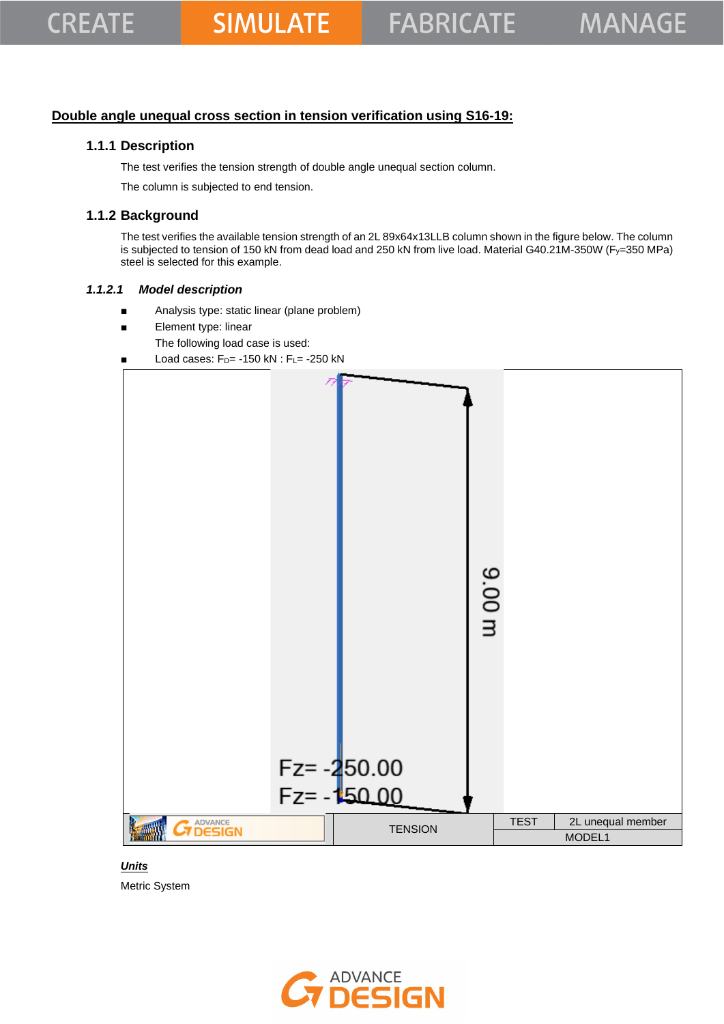## **Double angle unequal cross section in tension verification using S16-19:**

## **1.1.1 Description**

The test verifies the tension strength of double angle unequal section column.

The column is subjected to end tension.

## **1.1.2 Background**

The test verifies the available tension strength of an 2L 89x64x13LLB column shown in the figure below. The column is subjected to tension of 150 kN from dead load and 250 kN from live load. Material G40.21M-350W (Fy=350 MPa) steel is selected for this example.

#### *1.1.2.1 Model description*

- Analysis type: static linear (plane problem)
- Element type: linear
	- The following load case is used:
- Load cases:  $F_D$ = -150 kN :  $F_L$ = -250 kN



*Units* Metric System

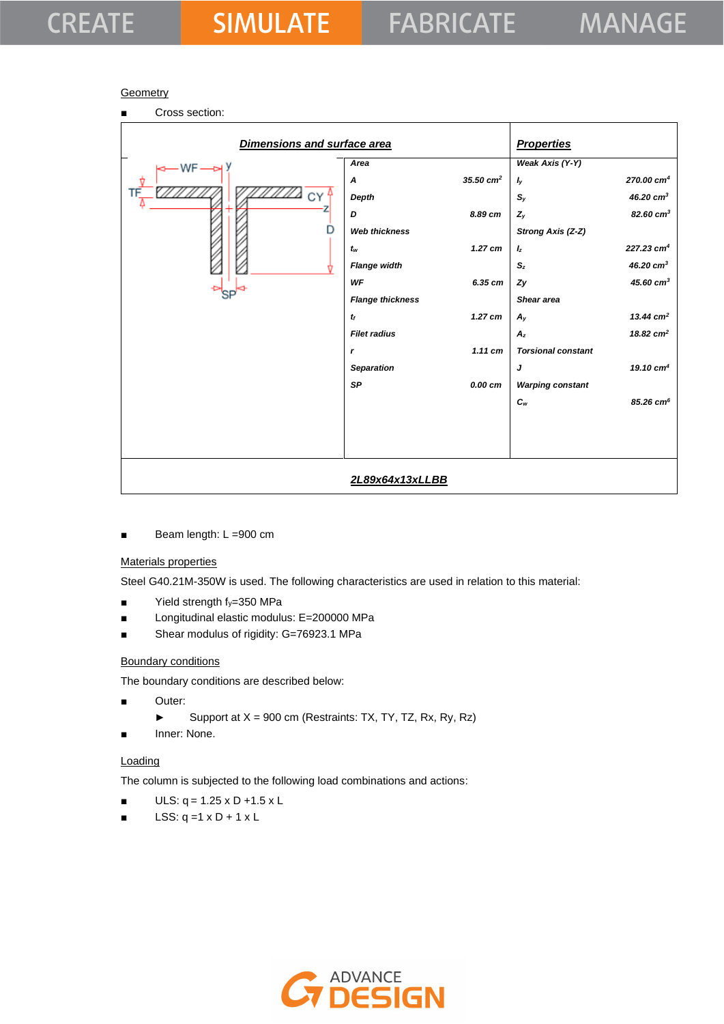#### **Geometry**

| Cross section:<br>п         |                         |                      |                           |                         |
|-----------------------------|-------------------------|----------------------|---------------------------|-------------------------|
| Dimensions and surface area |                         |                      | <b>Properties</b>         |                         |
| $-WF \longrightarrow$       | Area                    |                      | Weak Axis (Y-Y)           |                         |
|                             | $\boldsymbol{A}$        | $35.50 \text{ cm}^2$ | $I_y$                     | 270.00 cm <sup>4</sup>  |
|                             | Depth                   |                      | $S_{y}$                   | 46.20 $cm3$             |
|                             | D                       | 8.89 cm              | $Z_y$                     | $82.60 \text{ cm}^3$    |
|                             | <b>Web thickness</b>    |                      | Strong Axis (Z-Z)         |                         |
|                             | $t_{w}$                 | $1.27$ cm            | $I_z$                     | 227.23 cm <sup>4</sup>  |
|                             | <b>Flange width</b>     |                      | $S_z$                     | 46.20 $cm3$             |
|                             | WF                      | 6.35 cm              | Zy                        | 45.60 cm <sup>3</sup>   |
|                             | <b>Flange thickness</b> |                      | Shear area                |                         |
|                             | $t_f$                   | $1.27$ cm            | $A_{y}$                   | 13.44 $cm2$             |
|                             | <b>Filet radius</b>     |                      | $A_z$                     | 18.82 $cm2$             |
|                             | r                       | $1.11$ cm            | <b>Torsional constant</b> |                         |
|                             | <b>Separation</b>       |                      | J                         | 19.10 $cm4$             |
|                             | <b>SP</b>               | 0.00 cm              | <b>Warping constant</b>   |                         |
|                             |                         |                      | $c_{w}$                   | $85.26$ cm <sup>6</sup> |
|                             |                         |                      |                           |                         |
|                             |                         |                      |                           |                         |
|                             |                         |                      |                           |                         |
|                             | 2L89x64x13xLLBB         |                      |                           |                         |
|                             |                         |                      |                           |                         |

■ Beam length: L =900 cm

## Materials properties

Steel G40.21M-350W is used. The following characteristics are used in relation to this material:

- $\blacksquare$  Yield strength  $f_y=350$  MPa
- Longitudinal elastic modulus: E=200000 MPa
- Shear modulus of rigidity: G=76923.1 MPa

#### Boundary conditions

The boundary conditions are described below:

- Outer:
	- ► Support at  $X = 900$  cm (Restraints: TX, TY, TZ, Rx, Ry, Rz)
- Inner: None.

#### **Loading**

The column is subjected to the following load combinations and actions:

- $ULS: q = 1.25 \times D + 1.5 \times L$
- $\blacksquare$  LSS: q =1 x D + 1 x L

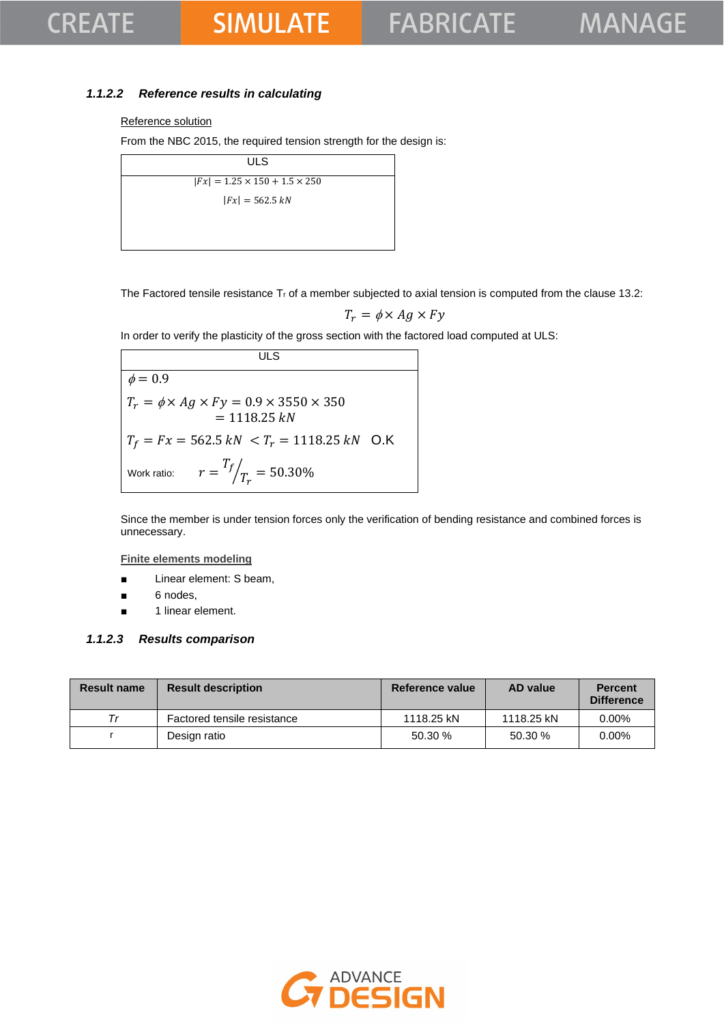## *1.1.2.2 Reference results in calculating*

#### Reference solution

From the NBC 2015, the required tension strength for the design is:

| ULS                                       |  |
|-------------------------------------------|--|
| $ Fx  = 1.25 \times 150 + 1.5 \times 250$ |  |
| $ Fx  = 562.5 kN$                         |  |
|                                           |  |
|                                           |  |

The Factored tensile resistance  $T_r$  of a member subjected to axial tension is computed from the clause 13.2:

$$
T_r = \phi \times Ag \times Fy
$$

In order to verify the plasticity of the gross section with the factored load computed at ULS:

**ULS**  $\phi = 0.9$  $T_r = \phi \times Ag \times Fy = 0.9 \times 3550 \times 350$  $= 1118.25 kN$  $T_f = Fx = 562.5 kN < T_r = 1118.25 kN$  O.K Work ratio:  $T_f$  $\sqrt{T_r} = 50.30\%$ 

Since the member is under tension forces only the verification of bending resistance and combined forces is unnecessary.

**Finite elements modeling**

- Linear element: S beam,
- 6 nodes,
- 1 linear element.

#### *1.1.2.3 Results comparison*

| Result name | <b>Result description</b>   | <b>Reference value</b> | AD value   | <b>Percent</b><br><b>Difference</b> |
|-------------|-----------------------------|------------------------|------------|-------------------------------------|
| Тr          | Factored tensile resistance | 1118.25 kN             | 1118.25 kN | $0.00\%$                            |
|             | Design ratio                | 50.30 %                | 50.30%     | $0.00\%$                            |